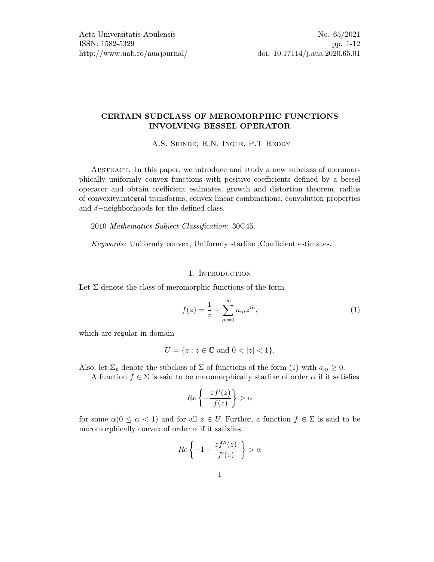## CERTAIN SUBCLASS OF MEROMORPHIC FUNCTIONS INVOLVING BESSEL OPERATOR

A.S. SHINDE, R.N. INGLE, P.T REDDY

Abstract. In this paper, we introduce and study a new subclass of meromorphically uniformly convex functions with positive coefficients defined by a bessel operator and obtain coefficient estimates, growth and distortion theorem, radius of convexity,integral transforms, convex linear combinations, convolution properties and  $\delta$ -neighborhoods for the defined class.

2010 Mathematics Subject Classification: 30C45.

Keywords: Uniformly convex, Uniformly starlike ,Coefficient estimates.

#### 1. INTRODUCTION

Let  $\Sigma$  denote the class of meromorphic functions of the form

<span id="page-0-0"></span>
$$
f(z) = \frac{1}{z} + \sum_{m=1}^{\infty} a_m z^m,
$$
 (1)

which are regular in domain

$$
U = \{ z : z \in \mathbb{C} \text{ and } 0 < |z| < 1 \}.
$$

Also, let  $\Sigma_p$  denote the subclass of  $\Sigma$  of functions of the form [\(1\)](#page-0-0) with  $a_m \geq 0$ .

A function  $f \in \Sigma$  is said to be meromorphically starlike of order  $\alpha$  if it satisfies

$$
Re\left\{-\frac{zf'(z)}{f(z)}\right\} > \alpha
$$

for some  $\alpha(0 \leq \alpha < 1)$  and for all  $z \in U$ . Further, a function  $f \in \Sigma$  is said to be meromorphically convex of order  $\alpha$  if it satisfies

$$
Re\left\{-1-\frac{zf''(z)}{f'(z)}\right\} > \alpha
$$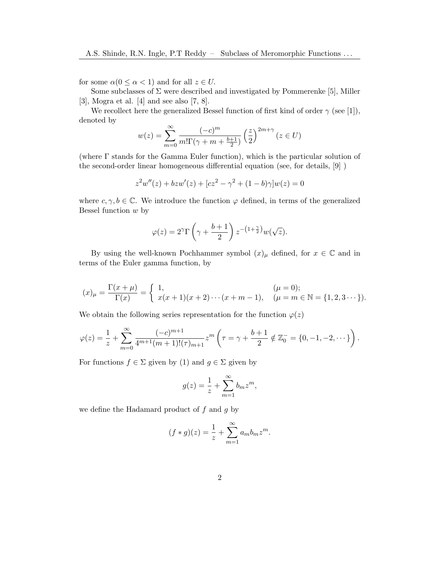for some  $\alpha(0 \leq \alpha < 1)$  and for all  $z \in U$ .

Some subclasses of  $\Sigma$  were described and investigated by Pommerenke [\[5\]](#page-10-0), Miller [\[3\]](#page-10-1), Mogra et al. [\[4\]](#page-10-2) and see also [\[7,](#page-11-1) [8\]](#page-11-2).

We recollect here the generalized Bessel function of first kind of order  $\gamma$  (see [\[1\]](#page-10-3)), denoted by

$$
w(z) = \sum_{m=0}^{\infty} \frac{(-c)^m}{m!\Gamma(\gamma + m + \frac{b+1}{2})} \left(\frac{z}{2}\right)^{2m+\gamma} (z \in U)
$$

(where Γ stands for the Gamma Euler function), which is the particular solution of the second-order linear homogeneous differential equation (see, for details, [\[9\]](#page-11-3) )

$$
z^{2}w''(z) + bzw'(z) + [cz^{2} - \gamma^{2} + (1 - b)\gamma]w(z) = 0
$$

where  $c, \gamma, b \in \mathbb{C}$ . We introduce the function  $\varphi$  defined, in terms of the generalized Bessel function  $w$  by

$$
\varphi(z) = 2^{\gamma} \Gamma\left(\gamma + \frac{b+1}{2}\right) z^{-\left(1 + \frac{\gamma}{2}\right)} w(\sqrt{z}).
$$

By using the well-known Pochhammer symbol  $(x)_{\mu}$  defined, for  $x \in \mathbb{C}$  and in terms of the Euler gamma function, by

$$
(x)_{\mu} = \frac{\Gamma(x + \mu)}{\Gamma(x)} = \begin{cases} 1, & (\mu = 0); \\ x(x + 1)(x + 2) \cdots (x + m - 1), & (\mu = m \in \mathbb{N} = \{1, 2, 3 \cdots\}). \end{cases}
$$

We obtain the following series representation for the function  $\varphi(z)$ 

$$
\varphi(z) = \frac{1}{z} + \sum_{m=0}^{\infty} \frac{(-c)^{m+1}}{4^{m+1}(m+1)!(\tau)_{m+1}} z^m \left(\tau = \gamma + \frac{b+1}{2} \notin \mathbb{Z}_0^- = \{0, -1, -2, \dots\}\right).
$$

For functions  $f \in \Sigma$  given by [\(1\)](#page-0-0) and  $g \in \Sigma$  given by

$$
g(z) = \frac{1}{z} + \sum_{m=1}^{\infty} b_m z^m,
$$

we define the Hadamard product of  $f$  and  $g$  by

$$
(f * g)(z) = \frac{1}{z} + \sum_{m=1}^{\infty} a_m b_m z^m.
$$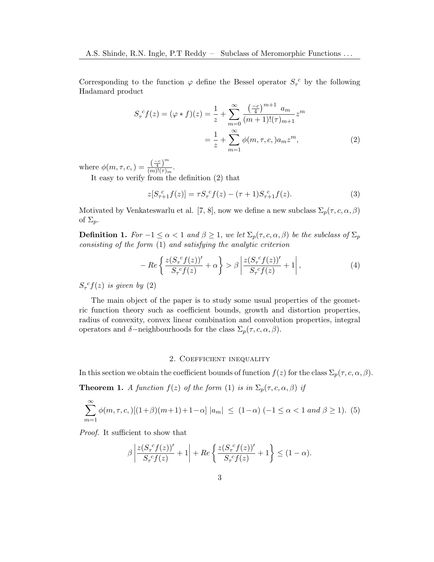Corresponding to the function  $\varphi$  define the Bessel operator  $S_{\tau}^{\ c}$  by the following Hadamard product

$$
S_{\tau}^{c} f(z) = (\varphi * f)(z) = \frac{1}{z} + \sum_{m=0}^{\infty} \frac{\left(\frac{-c}{4}\right)^{m+1} a_m}{(m+1)!(\tau)_{m+1}} z^m
$$

$$
= \frac{1}{z} + \sum_{m=1}^{\infty} \phi(m, \tau, c, ) a_m z^m,
$$
(2)

where  $\phi(m, \tau, c) = \frac{\left(\frac{-c}{4}\right)^m}{(m)!(\tau)}$  $\frac{\sqrt{4}}{(m)!(\tau)_m}$ .

It easy to verify from the definition [\(2\)](#page-2-0) that

<span id="page-2-0"></span>
$$
z[S_{\tau+1}^{\ c}f(z)] = \tau S_{\tau}^{\ c}f(z) - (\tau+1)S_{\tau+1}^{\ c}f(z). \tag{3}
$$

Motivated by Venkateswarlu et al. [\[7,](#page-11-1) [8\]](#page-11-2), now we define a new subclass  $\Sigma_p(\tau, c, \alpha, \beta)$ of  $\Sigma_p$ .

**Definition 1.** For  $-1 \le \alpha < 1$  and  $\beta \ge 1$ , we let  $\Sigma_p(\tau, c, \alpha, \beta)$  be the subclass of  $\Sigma_p$ consisting of the form [\(1\)](#page-0-0) and satisfying the analytic criterion

$$
-Re\left\{\frac{z(S_\tau^{\ c}f(z))'}{S_\tau^{\ c}f(z)}+\alpha\right\} > \beta \left|\frac{z(S_\tau^{\ c}f(z))'}{S_\tau^{\ c}f(z)}+1\right|,\tag{4}
$$

 $S_{\tau}^{c}f(z)$  is given by [\(2\)](#page-2-0)

The main object of the paper is to study some usual properties of the geometric function theory such as coefficient bounds, growth and distortion properties, radius of convexity, convex linear combination and convolution properties, integral operators and  $\delta$ -neighbourhoods for the class  $\Sigma_p(\tau, c, \alpha, \beta)$ .

## 2. Coefficient inequality

In this section we obtain the coefficient bounds of function  $f(z)$  for the class  $\Sigma_p(\tau, c, \alpha, \beta)$ .

<span id="page-2-1"></span>**Theorem 1.** A function  $f(z)$  of the form [\(1\)](#page-0-0) is in  $\Sigma_p(\tau, c, \alpha, \beta)$  if

$$
\sum_{m=1}^{\infty} \phi(m,\tau,c,)[(1+\beta)(m+1)+1-\alpha] |a_m| \le (1-\alpha) (-1 \le \alpha < 1 \text{ and } \beta \ge 1). (5)
$$

Proof. It sufficient to show that

$$
\beta \left| \frac{z(S_\tau^{\ c}f(z))'}{S_\tau^{\ c}f(z)} + 1 \right| + Re \left\{ \frac{z(S_\tau^{\ c}f(z))'}{S_\tau^{\ c}f(z)} + 1 \right\} \le (1 - \alpha).
$$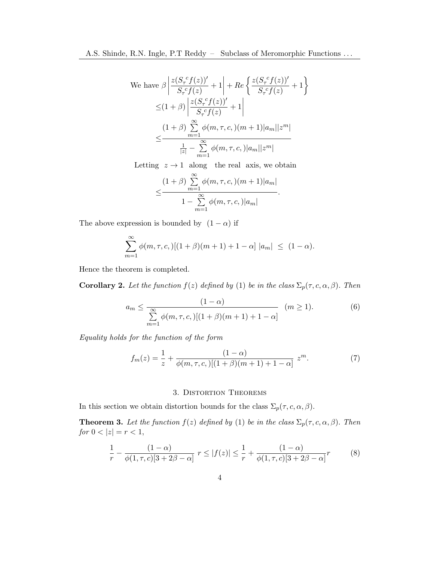We have 
$$
\beta \left| \frac{z(S_{\tau}^c f(z))'}{S_{\tau}^c f(z)} + 1 \right| + Re \left\{ \frac{z(S_{\tau}^c f(z))'}{S_{\tau}^c f(z)} + 1 \right\}
$$
  

$$
\leq (1 + \beta) \left| \frac{z(S_{\tau}^c f(z))'}{S_{\tau}^c f(z)} + 1 \right|
$$
  

$$
\leq \frac{(1 + \beta) \sum_{m=1}^{\infty} \phi(m, \tau, c,)(m+1)|a_m||z^m|}{\frac{1}{|z|} - \sum_{m=1}^{\infty} \phi(m, \tau, c,)|a_m||z^m|}
$$

Letting  $z \to 1$  along the real axis, we obtain

$$
\leq \frac{(1+\beta)\sum_{m=1}^{\infty}\phi(m,\tau,c,(m+1)|a_m|)}{1-\sum_{m=1}^{\infty}\phi(m,\tau,c,)|a_m|}.
$$

The above expression is bounded by  $(1 - \alpha)$  if

$$
\sum_{m=1}^{\infty} \phi(m, \tau, c, ) [(1 + \beta)(m + 1) + 1 - \alpha] |a_m| \le (1 - \alpha).
$$

Hence the theorem is completed.

**Corollary 2.** Let the function  $f(z)$  defined by [\(1\)](#page-0-0) be in the class  $\Sigma_p(\tau, c, \alpha, \beta)$ . Then

$$
a_m \le \frac{(1-\alpha)}{\sum_{m=1}^{\infty} \phi(m,\tau,c,)[(1+\beta)(m+1)+1-\alpha]} \quad (m \ge 1).
$$
 (6)

Equality holds for the function of the form

<span id="page-3-1"></span>
$$
f_m(z) = \frac{1}{z} + \frac{(1-\alpha)}{\phi(m,\tau,c,)[(1+\beta)(m+1)+1-\alpha]} z^m.
$$
 (7)

## 3. Distortion Theorems

In this section we obtain distortion bounds for the class  $\Sigma_p(\tau, c, \alpha, \beta)$ .

**Theorem 3.** Let the function  $f(z)$  defined by [\(1\)](#page-0-0) be in the class  $\Sigma_p(\tau, c, \alpha, \beta)$ . Then  $\label{eq:1} \begin{split} \textit{for $0<|z|=r<1$}, \end{split}$ 

<span id="page-3-0"></span>
$$
\frac{1}{r} - \frac{(1-\alpha)}{\phi(1,\tau,c)[3+2\beta-\alpha]} \ r \le |f(z)| \le \frac{1}{r} + \frac{(1-\alpha)}{\phi(1,\tau,c)[3+2\beta-\alpha]}r \tag{8}
$$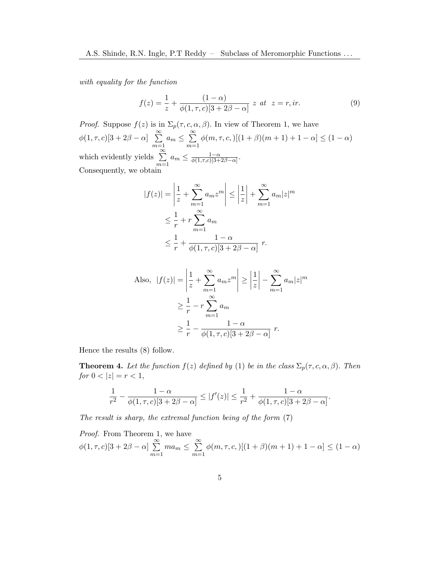with equality for the function

$$
f(z) = \frac{1}{z} + \frac{(1-\alpha)}{\phi(1,\tau,c)[3+2\beta-\alpha]} z \ \text{at} \ \ z = r, ir. \tag{9}
$$

*Proof.* Suppose  $f(z)$  is in  $\Sigma_p(\tau, c, \alpha, \beta)$ . In view of Theorem [1,](#page-2-1) we have  $\phi(1,\tau,c)[3+2\beta-\alpha] \sum_{i=1}^{\infty}$  $m=1$  $a_m \leq \sum_{n=1}^{\infty}$  $m=1$  $\phi(m, \tau, c, )[(1 + \beta)(m + 1) + 1 - \alpha] \leq (1 - \alpha)$ which evidently yields  $\sum_{n=1}^{\infty}$  $m=1$  $a_m \leq \frac{1-\alpha}{\phi(1-\epsilon)(3+\alpha)}$  $\frac{1-\alpha}{\phi(1,\tau,c)[3+2\beta-\alpha]}.$ Consequently, we obtain

$$
|f(z)| = \left|\frac{1}{z} + \sum_{m=1}^{\infty} a_m z^m\right| \le \left|\frac{1}{z}\right| + \sum_{m=1}^{\infty} a_m |z|^m
$$
  

$$
\le \frac{1}{r} + r \sum_{m=1}^{\infty} a_m
$$
  

$$
\le \frac{1}{r} + \frac{1 - \alpha}{\phi(1, \tau, c)[3 + 2\beta - \alpha]} r.
$$

Also, 
$$
|f(z)| = \left|\frac{1}{z} + \sum_{m=1}^{\infty} a_m z^m\right| \ge \left|\frac{1}{z}\right| - \sum_{m=1}^{\infty} a_m |z|^m
$$
  

$$
\ge \frac{1}{r} - r \sum_{m=1}^{\infty} a_m
$$

$$
\ge \frac{1}{r} - \frac{1 - \alpha}{\phi(1, \tau, c)[3 + 2\beta - \alpha]} r.
$$

Hence the results [\(8\)](#page-3-0) follow.

**Theorem 4.** Let the function  $f(z)$  defined by [\(1\)](#page-0-0) be in the class  $\Sigma_p(\tau, c, \alpha, \beta)$ . Then for  $0 < |z| = r < 1$ ,

$$
\frac{1}{r^2}-\frac{1-\alpha}{\phi(1,\tau,c)[3+2\beta-\alpha]}\leq |f'(z)|\leq \frac{1}{r^2}+\frac{1-\alpha}{\phi(1,\tau,c)[3+2\beta-\alpha]}.
$$

The result is sharp, the extremal function being of the form [\(7\)](#page-3-1)

Proof. From Theorem [1,](#page-2-1) we have  $\phi(1, \tau, c)[3 + 2\beta - \alpha] \sum_{i=1}^{\infty}$  $m=1$  $ma_m \leq \sum_{n=1}^{\infty}$  $m=1$  $\phi(m, \tau, c, )[(1 + \beta)(m + 1) + 1 - \alpha] \leq (1 - \alpha)$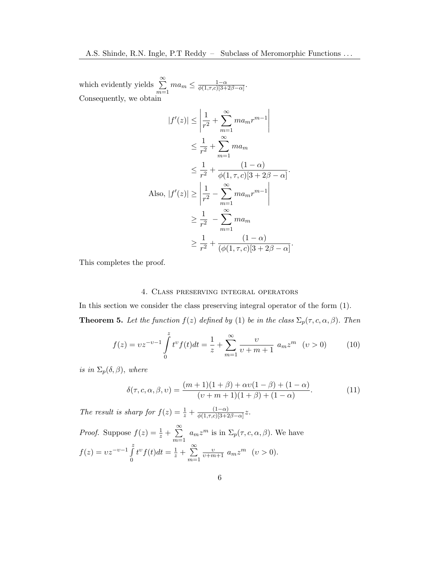which evidently yields  $\sum_{n=1}^{\infty}$  $m=1$  $ma_m \leq \frac{1-\alpha}{\phi(1-\tau_c)(3+\tau)}$  $\frac{1-\alpha}{\phi(1,\tau,c)[3+2\beta-\alpha]}.$ Consequently, we obtain

$$
|f'(z)| \le \left| \frac{1}{r^2} + \sum_{m=1}^{\infty} m a_m r^{m-1} \right|
$$
  
\n
$$
\le \frac{1}{r^2} + \sum_{m=1}^{\infty} m a_m
$$
  
\n
$$
\le \frac{1}{r^2} + \frac{(1-\alpha)}{\phi(1,\tau,c)[3+2\beta-\alpha]}.
$$
  
\nAlso,  $|f'(z)| \ge \left| \frac{1}{r^2} - \sum_{m=1}^{\infty} m a_m r^{m-1} \right|$   
\n
$$
\ge \frac{1}{r^2} - \sum_{m=1}^{\infty} m a_m
$$
  
\n
$$
\ge \frac{1}{r^2} + \frac{(1-\alpha)}{(\phi(1,\tau,c)[3+2\beta-\alpha]}.
$$

This completes the proof.

### 4. Class preserving integral operators

In this section we consider the class preserving integral operator of the form [\(1\)](#page-0-0). **Theorem 5.** Let the function  $f(z)$  defined by [\(1\)](#page-0-0) be in the class  $\Sigma_p(\tau, c, \alpha, \beta)$ . Then

$$
f(z) = vz^{-\nu-1} \int_{0}^{z} t^{\nu} f(t)dt = \frac{1}{z} + \sum_{m=1}^{\infty} \frac{\nu}{\nu+m+1} a_m z^m \quad (\nu > 0)
$$
 (10)

is in  $\Sigma_p(\delta,\beta)$ , where

$$
\delta(\tau, c, \alpha, \beta, v) = \frac{(m+1)(1+\beta) + \alpha v(1-\beta) + (1-\alpha)}{(v+m+1)(1+\beta) + (1-\alpha)}.
$$
\n(11)

The result is sharp for  $f(z) = \frac{1}{z} + \frac{(1-\alpha)}{\phi(1,\tau,c)}\overline{3+2}$  $\frac{(1-\alpha)}{\phi(1,\tau,c)[3+2\beta-\alpha]}z.$ 

*Proof.* Suppose  $f(z) = \frac{1}{z} + \sum_{i=1}^{\infty}$  $m=1$  $a_m z^m$  is in  $\Sigma_p(\tau, c, \alpha, \beta)$ . We have  $f(z) = v z^{-v-1} \int_{0}^{z}$  $\boldsymbol{0}$  $t^{\nu}f(t)dt = \frac{1}{z} + \sum_{i=1}^{\infty}$  $m=1$  $\frac{v}{v+m+1} a_m z^m$   $(v > 0).$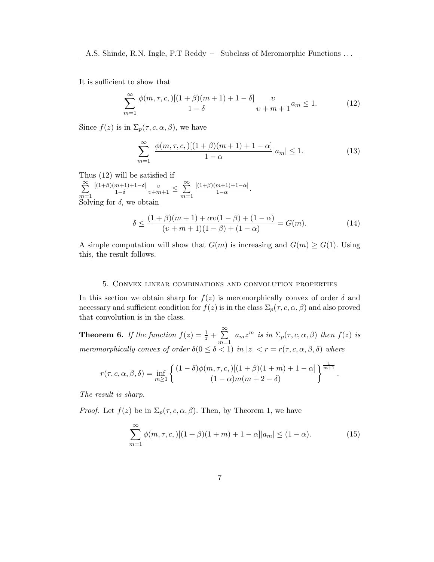It is sufficient to show that

<span id="page-6-0"></span>
$$
\sum_{m=1}^{\infty} \frac{\phi(m,\tau,c,)[(1+\beta)(m+1)+1-\delta]}{1-\delta} \frac{\upsilon}{\upsilon+m+1} a_m \le 1.
$$
 (12)

Since  $f(z)$  is in  $\Sigma_p(\tau, c, \alpha, \beta)$ , we have

$$
\sum_{m=1}^{\infty} \frac{\phi(m,\tau,c,)[(1+\beta)(m+1)+1-\alpha]}{1-\alpha}|a_m| \le 1.
$$
 (13)

Thus [\(12\)](#page-6-0) will be satisfied if

 $\sum_{i=1}^{\infty}$  $m=1$  $[(1+\beta)(m+1)+1-\delta]$  $\frac{m+1+1-\delta}{1-\delta} \frac{\upsilon}{\upsilon+m+1} \leq \sum_{i=1}^{\infty}$  $m=1$  $[(1+\beta)(m+1)+1-\alpha]$  $\frac{m+1+1-\alpha_1}{1-\alpha}$ . Solving for  $\delta$ , we obtain

$$
\delta \le \frac{(1+\beta)(m+1) + \alpha \nu (1-\beta) + (1-\alpha)}{(\nu+m+1)(1-\beta) + (1-\alpha)} = G(m). \tag{14}
$$

A simple computation will show that  $G(m)$  is increasing and  $G(m) \geq G(1)$ . Using this, the result follows.

#### 5. Convex linear combinations and convolution properties

In this section we obtain sharp for  $f(z)$  is meromorphically convex of order  $\delta$  and necessary and sufficient condition for  $f(z)$  is in the class  $\Sigma_p(\tau, c, \alpha, \beta)$  and also proved that convolution is in the class.

**Theorem 6.** If the function  $f(z) = \frac{1}{z} + \sum_{i=1}^{\infty}$  $m=1$  $a_m z^m$  is in  $\Sigma_p(\tau, c, \alpha, \beta)$  then  $f(z)$  is meromorphically convex of order  $\delta(0 \leq \delta < 1)$  in  $|z| < r = r(\tau, c, \alpha, \beta, \delta)$  where

$$
r(\tau, c, \alpha, \beta, \delta) = \inf_{m \ge 1} \left\{ \frac{(1-\delta)\phi(m, \tau, c, )[(1+\beta)(1+m) + 1-\alpha]}{(1-\alpha)m(m+2-\delta)} \right\}^{\frac{1}{m+1}}.
$$

The result is sharp.

*Proof.* Let  $f(z)$  be in  $\Sigma_p(\tau, c, \alpha, \beta)$ . Then, by Theorem [1,](#page-2-1) we have

<span id="page-6-1"></span>
$$
\sum_{m=1}^{\infty} \phi(m,\tau,c,)[(1+\beta)(1+m)+1-\alpha]|a_m| \le (1-\alpha). \tag{15}
$$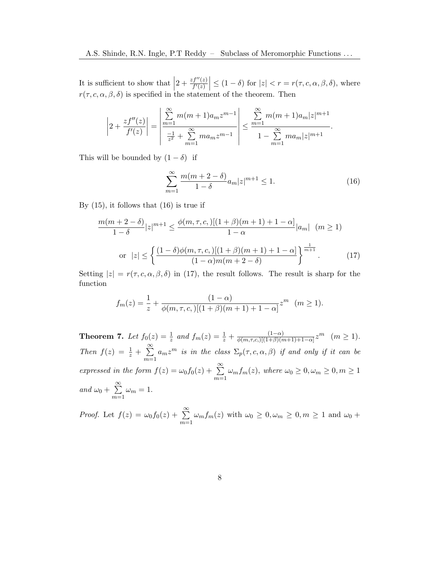It is sufficient to show that  $\left|2 + \frac{zf''(z)}{f'(z)}\right| \leq (1-\delta)$  for  $|z| < r = r(\tau, c, \alpha, \beta, \delta)$ , where  $r(\tau, c, \alpha, \beta, \delta)$  is specified in the statement of the theorem. Then

$$
\left|2+\frac{zf''(z)}{f'(z)}\right|=\left|\frac{\sum_{m=1}^{\infty}m(m+1)a_mz^{m-1}}{\frac{-1}{z^2}+\sum_{m=1}^{\infty}ma_mz^{m-1}}\right|\leq \frac{\sum_{m=1}^{\infty}m(m+1)a_m|z|^{m+1}}{1-\sum_{m=1}^{\infty}ma_m|z|^{m+1}}.
$$

This will be bounded by  $(1 - \delta)$  if

<span id="page-7-0"></span>
$$
\sum_{m=1}^{\infty} \frac{m(m+2-\delta)}{1-\delta} a_m |z|^{m+1} \le 1.
$$
 (16)

By  $(15)$ , it follows that  $(16)$  is true if

<span id="page-7-1"></span>
$$
\frac{m(m+2-\delta)}{1-\delta}|z|^{m+1} \le \frac{\phi(m,\tau,c,)[(1+\beta)(m+1)+1-\alpha]}{1-\alpha}|a_m| \quad (m \ge 1)
$$
  
or  $|z| \le \left\{ \frac{(1-\delta)\phi(m,\tau,c,)[(1+\beta)(m+1)+1-\alpha]}{(1-\alpha)m(m+2-\delta)} \right\}^{\frac{1}{m+1}}.$  (17)

Setting  $|z| = r(\tau, c, \alpha, \beta, \delta)$  in [\(17\)](#page-7-1), the result follows. The result is sharp for the function

$$
f_m(z) = \frac{1}{z} + \frac{(1-\alpha)}{\phi(m,\tau,c,)[(1+\beta)(m+1)+1-\alpha]} z^m \quad (m \ge 1).
$$

**Theorem 7.** Let  $f_0(z) = \frac{1}{z}$  and  $f_m(z) = \frac{1}{z} + \frac{(1-\alpha)}{\phi(m,\tau,c_1)[(1+\beta)(m+\beta)]}$  $\frac{(1-\alpha)}{\phi(m,\tau,c,)[(1+\beta)(m+1)+1-\alpha]}z^m$   $(m \ge 1).$ Then  $f(z) = \frac{1}{z} + \sum_{i=1}^{\infty}$  $m=1$  $a_m z^m$  is in the class  $\Sigma_p(\tau, c, \alpha, \beta)$  if and only if it can be expressed in the form  $f(z) = \omega_0 f_0(z) + \sum_{n=0}^{\infty}$  $m=1$  $\omega_m f_m(z)$ , where  $\omega_0 \geq 0, \omega_m \geq 0, m \geq 1$ and  $\omega_0 + \sum_{n=1}^{\infty}$  $m=1$  $\omega_m=1.$ 

*Proof.* Let  $f(z) = \omega_0 f_0(z) + \sum_{n=0}^{\infty}$  $m=1$  $\omega_m f_m(z)$  with  $\omega_0 \geq 0, \omega_m \geq 0, m \geq 1$  and  $\omega_0 +$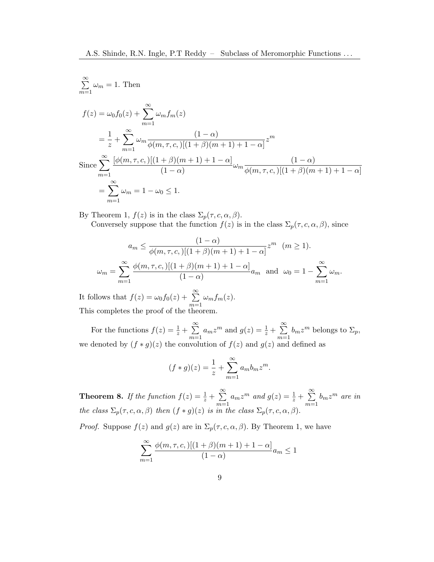$$
\sum_{m=1}^{\infty} \omega_m = 1. \text{ Then}
$$
\n
$$
f(z) = \omega_0 f_0(z) + \sum_{m=1}^{\infty} \omega_m f_m(z)
$$
\n
$$
= \frac{1}{z} + \sum_{m=1}^{\infty} \omega_m \frac{(1-\alpha)}{\phi(m,\tau,c,[(1+\beta)(m+1)+1-\alpha]} z^m
$$
\n
$$
\text{Since } \sum_{m=1}^{\infty} \frac{[\phi(m,\tau,c,[(1+\beta)(m+1)+1-\alpha]]}{(1-\alpha)} \omega_m \frac{(1-\alpha)}{\phi(m,\tau,c,[(1+\beta)(m+1)+1-\alpha]}
$$
\n
$$
= \sum_{m=1}^{\infty} \omega_m = 1 - \omega_0 \le 1.
$$

By Theorem [1,](#page-2-1)  $f(z)$  is in the class  $\Sigma_p(\tau, c, \alpha, \beta)$ .

Conversely suppose that the function  $f(z)$  is in the class  $\Sigma_p(\tau, c, \alpha, \beta)$ , since

$$
a_m \le \frac{(1-\alpha)}{\phi(m,\tau,c,)[(1+\beta)(m+1)+1-\alpha]} z^m \quad (m \ge 1).
$$
  

$$
\omega_m = \sum_{m=1}^{\infty} \frac{\phi(m,\tau,c,)[(1+\beta)(m+1)+1-\alpha]}{(1-\alpha)} a_m \text{ and } \omega_0 = 1 - \sum_{m=1}^{\infty} \omega_m.
$$

It follows that  $f(z) = \omega_0 f_0(z) + \sum_{n=0}^{\infty}$  $m=1$  $\omega_m f_m(z)$ . This completes the proof of the theorem.

For the functions  $f(z) = \frac{1}{z} + \sum_{n=1}^{\infty}$  $m=1$  $a_m z^m$  and  $g(z) = \frac{1}{z} + \sum_{n=1}^{\infty}$  $m=1$  $b_m z^m$  belongs to  $\Sigma_p$ , we denoted by  $(f * g)(z)$  the convolution of  $f(z)$  and  $g(z)$  and defined as

$$
(f * g)(z) = \frac{1}{z} + \sum_{m=1}^{\infty} a_m b_m z^m.
$$

**Theorem 8.** If the function  $f(z) = \frac{1}{z} + \sum_{n=1}^{\infty}$  $m=1$  $a_m z^m$  and  $g(z) = \frac{1}{z} + \sum_{m=1}^{\infty}$  $m=1$  $b_m z^m$  are in the class  $\Sigma_p(\tau, c, \alpha, \beta)$  then  $(f * g)(z)$  is in the class  $\Sigma_p(\tau, c, \alpha, \beta)$ .

*Proof.* Suppose  $f(z)$  and  $g(z)$  are in  $\Sigma_p(\tau, c, \alpha, \beta)$ . By Theorem [1,](#page-2-1) we have

$$
\sum_{m=1}^{\infty} \frac{\phi(m,\tau,c,)[(1+\beta)(m+1)+1-\alpha]}{(1-\alpha)} a_m \le 1
$$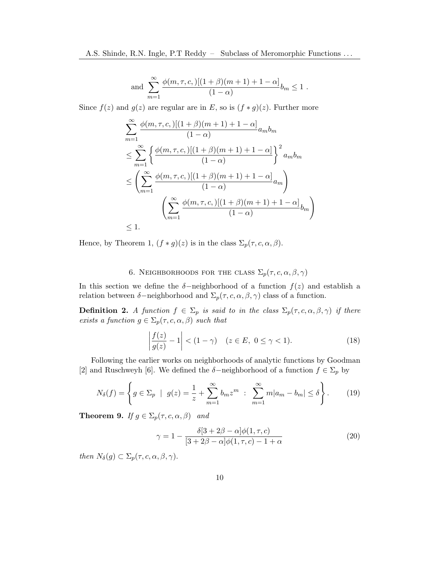and 
$$
\sum_{m=1}^{\infty} \frac{\phi(m,\tau,c,)[(1+\beta)(m+1)+1-\alpha]}{(1-\alpha)}b_m \le 1.
$$

Since  $f(z)$  and  $g(z)$  are regular are in E, so is  $(f * g)(z)$ . Further more

$$
\sum_{m=1}^{\infty} \frac{\phi(m,\tau,c,)[(1+\beta)(m+1)+1-\alpha]}{(1-\alpha)} a_m b_m
$$
  
\n
$$
\leq \sum_{m=1}^{\infty} \left\{ \frac{\phi(m,\tau,c,)[(1+\beta)(m+1)+1-\alpha]}{(1-\alpha)} \right\}^2 a_m b_m
$$
  
\n
$$
\leq \left( \sum_{m=1}^{\infty} \frac{\phi(m,\tau,c,)[(1+\beta)(m+1)+1-\alpha]}{(1-\alpha)} a_m \right)
$$
  
\n
$$
\left( \sum_{m=1}^{\infty} \frac{\phi(m,\tau,c,)[(1+\beta)(m+1)+1-\alpha]}{(1-\alpha)} b_m \right)
$$
  
\n
$$
\leq 1.
$$

Hence, by Theorem [1,](#page-2-1)  $(f * g)(z)$  is in the class  $\Sigma_p(\tau, c, \alpha, \beta)$ .

# 6. NEIGHBORHOODS FOR THE CLASS  $\Sigma_p(\tau, c, \alpha, \beta, \gamma)$

In this section we define the  $\delta$ -neighborhood of a function  $f(z)$  and establish a relation between  $\delta$ -neighborhood and  $\Sigma_p(\tau, c, \alpha, \beta, \gamma)$  class of a function.

<span id="page-9-2"></span>**Definition 2.** A function  $f \in \Sigma_p$  is said to in the class  $\Sigma_p(\tau, c, \alpha, \beta, \gamma)$  if there exists a function  $g \in \Sigma_p(\tau, c, \alpha, \beta)$  such that

$$
\left|\frac{f(z)}{g(z)}-1\right| < (1-\gamma) \quad (z \in E, \ 0 \le \gamma < 1). \tag{18}
$$

Following the earlier works on neighborhoods of analytic functions by Goodman [\[2\]](#page-10-4) and Ruschweyh [\[6\]](#page-10-5). We defined the  $\delta$ -neighborhood of a function  $f \in \Sigma_p$  by

<span id="page-9-0"></span>
$$
N_{\delta}(f) = \left\{ g \in \Sigma_p \: \mid \: g(z) = \frac{1}{z} + \sum_{m=1}^{\infty} b_m z^m \: : \: \sum_{m=1}^{\infty} m |a_m - b_m| \le \delta \right\}.
$$
 (19)

**Theorem 9.** If  $g \in \Sigma_p(\tau, c, \alpha, \beta)$  and

<span id="page-9-1"></span>
$$
\gamma = 1 - \frac{\delta[3 + 2\beta - \alpha]\phi(1, \tau, c)}{[3 + 2\beta - \alpha]\phi(1, \tau, c) - 1 + \alpha} \tag{20}
$$

then  $N_{\delta}(g) \subset \Sigma_p(\tau, c, \alpha, \beta, \gamma)$ .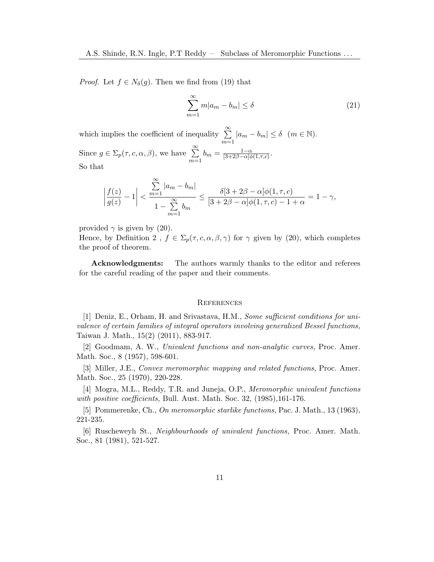*Proof.* Let  $f \in N_{\delta}(g)$ . Then we find from [\(19\)](#page-9-0) that

$$
\sum_{m=1}^{\infty} m|a_m - b_m| \le \delta \tag{21}
$$

which implies the coefficient of inequality  $\sum_{n=1}^{\infty}$  $m=1$  $|a_m - b_m| \leq \delta \quad (m \in \mathbb{N}).$ Since  $g \in \Sigma_p(\tau, c, \alpha, \beta)$ , we have  $\sum_{n=1}^{\infty}$  $m=1$  $b_m = \frac{1-\alpha}{[3+2\beta-\alpha]d}$  $\frac{1-\alpha}{[3+2\beta-\alpha]\phi(1,\tau,c)}.$ So that

$$
\left| \frac{f(z)}{g(z)} - 1 \right| < \frac{\sum_{m=1}^{\infty} |a_m - b_m|}{1 - \sum_{m=1}^{\infty} b_m} \le \frac{\delta[3 + 2\beta - \alpha]\phi(1, \tau, c)}{[3 + 2\beta - \alpha]\phi(1, \tau, c) - 1 + \alpha} = 1 - \gamma,
$$

provided  $\gamma$  is given by [\(20\)](#page-9-1).

Hence, by Definition [2](#page-9-2),  $f \in \Sigma_p(\tau, c, \alpha, \beta, \gamma)$  for  $\gamma$  given by [\(20\)](#page-9-1), which completes the proof of theorem.

**Acknowledgments:** The authors warmly thanks to the editor and referees for the careful reading of the paper and their comments.

#### **REFERENCES**

<span id="page-10-3"></span>[1] Deniz, E., Orham, H. and Srivastava, H.M., Some sufficient conditions for univalence of certain families of integral operators involving generalized Bessel functions, Taiwan J. Math., 15(2) (2011), 883-917.

<span id="page-10-4"></span>[2] Goodmam, A. W., Univalent functions and non-analytic curves, Proc. Amer. Math. Soc., 8 (1957), 598-601.

<span id="page-10-1"></span>[3] Miller, J.E., Convex meromorphic mapping and related functions, Proc. Amer. Math. Soc., 25 (1970), 220-228.

<span id="page-10-2"></span>[4] Mogra, M.L., Reddy, T.R. and Juneja, O.P., Meromorphic univalent functions with positive coefficients, Bull. Aust. Math. Soc. 32, (1985), 161-176.

<span id="page-10-0"></span>[5] Pommerenke, Ch., On meromorphic starlike functions, Pac. J. Math., 13 (1963), 221-235.

<span id="page-10-5"></span>[6] Ruscheweyh St., Neighbourhoods of univalent functions, Proc. Amer. Math. Soc., 81 (1981), 521-527.